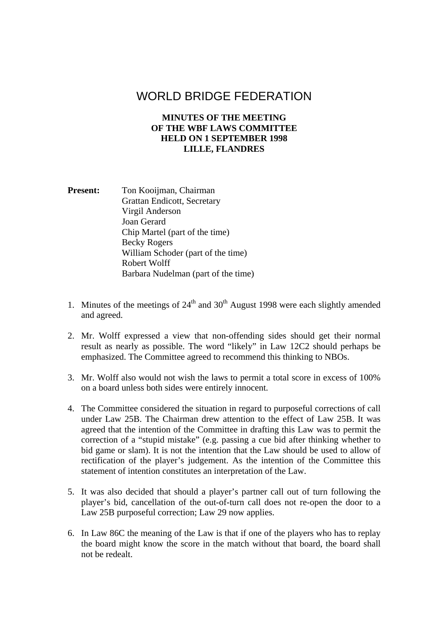## WORLD BRIDGE FEDERATION

## **MINUTES OF THE MEETING OF THE WBF LAWS COMMITTEE HELD ON 1 SEPTEMBER 1998 LILLE, FLANDRES**

Present: Ton Kooijman, Chairman Grattan Endicott, Secretary Virgil Anderson Joan Gerard Chip Martel (part of the time) Becky Rogers William Schoder (part of the time) Robert Wolff Barbara Nudelman (part of the time)

- 1. Minutes of the meetings of  $24<sup>th</sup>$  and  $30<sup>th</sup>$  August 1998 were each slightly amended and agreed.
- 2. Mr. Wolff expressed a view that non-offending sides should get their normal result as nearly as possible. The word "likely" in Law 12C2 should perhaps be emphasized. The Committee agreed to recommend this thinking to NBOs.
- 3. Mr. Wolff also would not wish the laws to permit a total score in excess of 100% on a board unless both sides were entirely innocent.
- 4. The Committee considered the situation in regard to purposeful corrections of call under Law 25B. The Chairman drew attention to the effect of Law 25B. It was agreed that the intention of the Committee in drafting this Law was to permit the correction of a "stupid mistake" (e.g. passing a cue bid after thinking whether to bid game or slam). It is not the intention that the Law should be used to allow of rectification of the player's judgement. As the intention of the Committee this statement of intention constitutes an interpretation of the Law.
- 5. It was also decided that should a player's partner call out of turn following the player's bid, cancellation of the out-of-turn call does not re-open the door to a Law 25B purposeful correction; Law 29 now applies.
- 6. In Law 86C the meaning of the Law is that if one of the players who has to replay the board might know the score in the match without that board, the board shall not be redealt.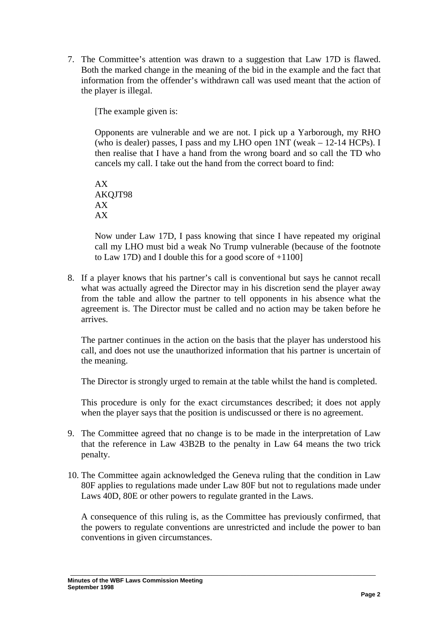7. The Committee's attention was drawn to a suggestion that Law 17D is flawed. Both the marked change in the meaning of the bid in the example and the fact that information from the offender's withdrawn call was used meant that the action of the player is illegal.

[The example given is:

Opponents are vulnerable and we are not. I pick up a Yarborough, my RHO (who is dealer) passes, I pass and my LHO open 1NT (weak – 12-14 HCPs). I then realise that I have a hand from the wrong board and so call the TD who cancels my call. I take out the hand from the correct board to find:

AX AKQJT98 AX AX

Now under Law 17D, I pass knowing that since I have repeated my original call my LHO must bid a weak No Trump vulnerable (because of the footnote to Law 17D) and I double this for a good score of  $+1100$ ]

8. If a player knows that his partner's call is conventional but says he cannot recall what was actually agreed the Director may in his discretion send the player away from the table and allow the partner to tell opponents in his absence what the agreement is. The Director must be called and no action may be taken before he arrives.

The partner continues in the action on the basis that the player has understood his call, and does not use the unauthorized information that his partner is uncertain of the meaning.

The Director is strongly urged to remain at the table whilst the hand is completed.

This procedure is only for the exact circumstances described; it does not apply when the player says that the position is undiscussed or there is no agreement.

- 9. The Committee agreed that no change is to be made in the interpretation of Law that the reference in Law 43B2B to the penalty in Law 64 means the two trick penalty.
- 10. The Committee again acknowledged the Geneva ruling that the condition in Law 80F applies to regulations made under Law 80F but not to regulations made under Laws 40D, 80E or other powers to regulate granted in the Laws.

A consequence of this ruling is, as the Committee has previously confirmed, that the powers to regulate conventions are unrestricted and include the power to ban conventions in given circumstances.